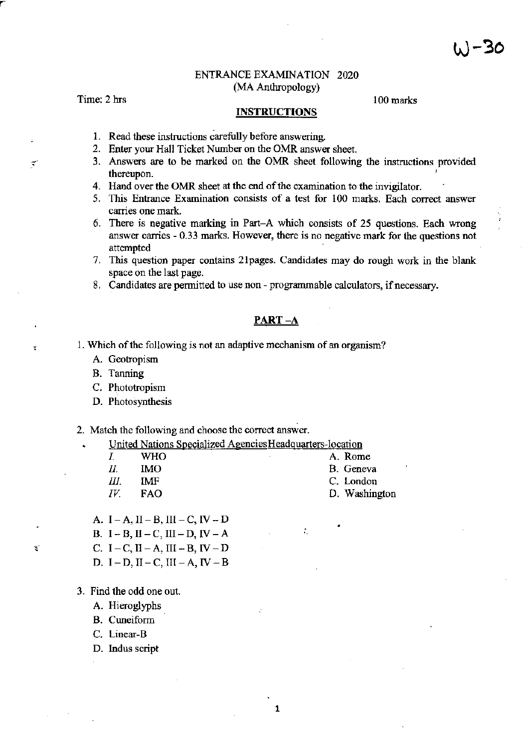# ENTRANCE EXAMINATION 2020 (MA Anthropology)

Time: 2 hrs 100 marks

 $\mathfrak{F}$ 

,

 $\overline{\mathcal{L}}$ 

### INSTRUCTIONS

- L Read these instructions carefully hefore answering.
- 2. Enter your Hall Ticket Number on the OMR answer sheet.
- 3. Answers are to be marked on the OMR sheet following the instructions provided thereupon.
- 4. Hand over the OMR sheet at the end of the examination to the invigilator.
- 5. This Entrance Examination consists of a test for 100 marks. Each correct answer carries one mark.
- 6. There is negative marking in Part-A which consists of 25 questions. Each wrong answer carries - 0.33 marks. However, there is no negative mark for the questions not attempted
- 7. This question paper contains 21 pages. Candidates may do rough work in the blank space on the last page.
- S. Candidates are permitted to use non programmable calculators, if necessary.

#### PART-A

- 1. Which of the following is not an adaptive mechanism of an organism?
	- A. Geotropism
	- B. Tanning
	- C. Phototropism
	- D. Photosynthesis

#### 2. Match the following and choose the correct answer.

|     | United Nations Specialized Agencies Headquarters-location |               |
|-----|-----------------------------------------------------------|---------------|
|     | WHO                                                       | A. Rome<br>٠  |
| 11. | <b>IMO</b>                                                | B. Geneva     |
| Ш   | <b>IMF</b>                                                | C. London     |
| IV. | <b>FAO</b>                                                | D. Washington |
|     |                                                           |               |

- A.  $I-A$ ,  $II-B$ ,  $III-C$ ,  $IV-D$
- B. I-B,  $II C$ ,  $III D$ ,  $IV A$
- C.  $I C$ ,  $II A$ ,  $III B$ ,  $IV D$
- D.  $I-D$ ,  $II-C$ ,  $III-A$ ,  $IV-B$
- 3. Find the odd one out.
	- A. Hieroglyphs
	- B. Cuneifonn
	- C. Linear-B
	- D. Indus script

•

÷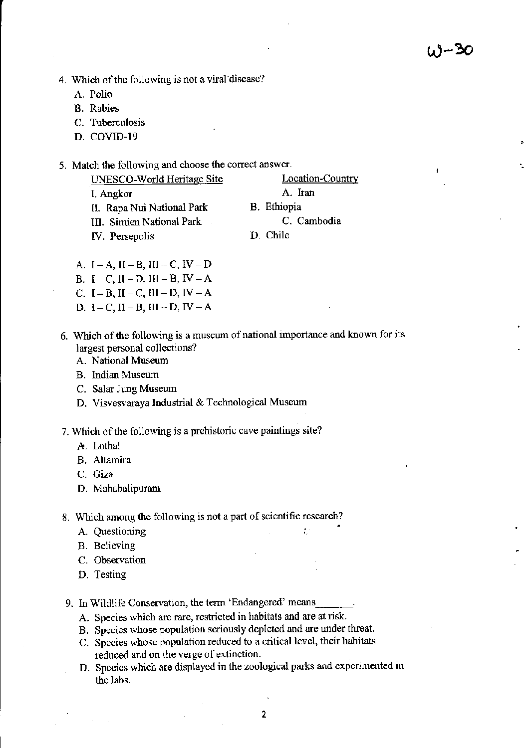'-

- 4. Which of the following is not a viral-disease?
	- A. Polio
	- B. Rabies
	- C. Tuberculosis
	- D. COVID-19
- 5. Match the following and choose the correct answer.

| UNESCO-World Heritage Site | Location-Country |  |
|----------------------------|------------------|--|
| I. Angkor                  | A. Iran          |  |
| II. Rapa Nui National Park | B. Ethiopia      |  |
| III. Simien National Park  | C. Cambodia      |  |
| IV. Persepolis             | D. Chile         |  |
|                            |                  |  |

- A.  $I-A$ ,  $II-B$ ,  $III-C$ ,  $IV-D$ B. I-C, II-D, III-B, IV-A C. I-B,  $II - C$ ,  $III - D$ ,  $IV - A$ D.  $I - C$ ,  $II - B$ ,  $III - D$ ,  $IV - A$
- 6. Which of the following is a museum of national importance and known for its largest personal collections?
	- A. National Museum
	- B. Indian Museum
	- C. Salar Jung Museum
	- D. Visvesvaraya Industrial & Technological Museum
- 7. Which of the following is a prehistoric cave paintings site?
	- A. Lothal
	- B. Altamira
	- C. Giza
	- D. Mahabalipuram
- 8. Which among the following is not a part of scientific research?
	- A. Questioning  $\mathbb{R}^n$
	- E. Believing
	- C. Observation
	- D, Testing
- 9. In Wildlife Conservation, the term 'Endangered' means
	- A. Species which are rare, restricted in habitats and are at risk.
	- E. Species whose population seriously depleted and are under threat.
	- C. Species whose population reduced to a critical level, their habitats reduced and on the verge of extinction.
	- D. Species which are displayed in the zoological parks and experimented in the labs.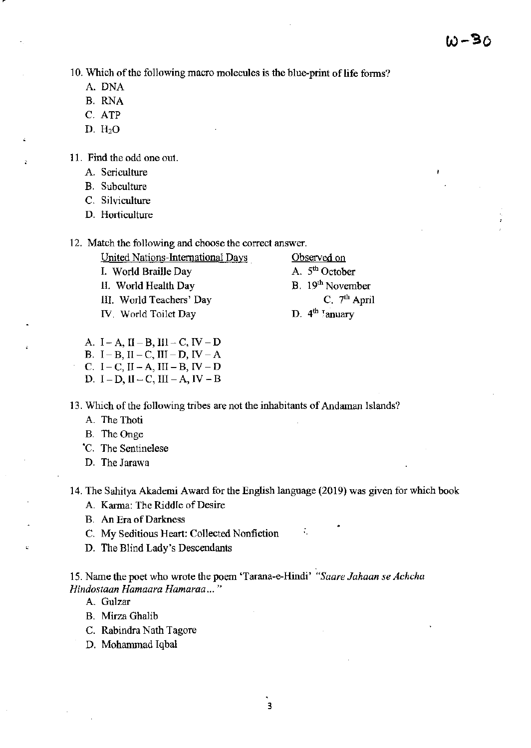**10. Which** of the **following macro molecules is the blue-print oflife forms?** 

- A. DNA
- B. RNA
- C. ATP
- D.  $H_2O$

**11. Find the odd one out.** 

- **A. Sericulture**
- **B. Subculture**
- C. Silviculture
- **D. Horticulture**

**12. Match the following and choose the correct answer.** 

- **United Nations-International Days Observed on**
- 
- 
- III. World Teachers' Day
- **IV.** World Toilet Day **D.** 4<sup>th</sup> **Ianuary**
- A.  $I-A$ ,  $II-B$ ,  $III-C$ ,  $IV-D$
- B.  $I B$ ,  $II C$ ,  $III D$ ,  $IV A$
- C.  $I C$ ,  $II A$ ,  $III B$ ,  $IV D$
- D. I-D,  $II C$ ,  $III A$ ,  $IV B$

**13. Which** of the **following tribes are not the inhabitants of Andaman Islands?** 

- A. The Thoti
- B. The Onge
- **"C. The Sentinelese**
- **D. The Jarawa**

14. The Sahitya Akademi Award for the English language (2019) was given for which book

- **A. Karma: The Riddle** of Desire
- **B. An Era** of Darkness
- **C. My Seditious Heart: Collected Nonfiction** '.
- D. The Blind Lady's Descendants

**15. Name the poet who wrote the poem 'Tarana-e-Hindi'** *"Saare Jahaan se Achcha Hindostaan Hamaara Hamaraa* **...** "

- A. GuIzar
- **B. Mirza Ghalib**
- **C. Rabindra Nath Tagore**
- D. Mohammad Iqbal

**I.** World Braille Day **A.** 5<sup>th</sup> October 11. World Health Day  $B. 19<sup>th</sup>$  November III. World Teachers' Day  $C. 7<sup>th</sup>$  April

•

3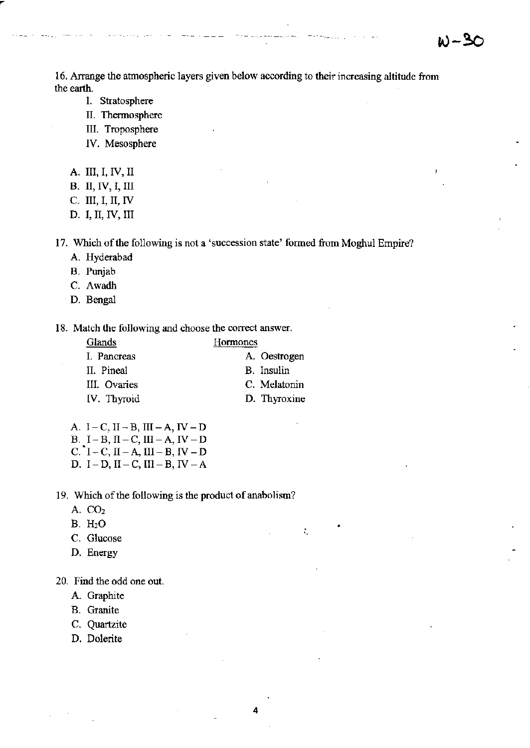**16, Arrange the atmospheric layers given below according to their increasing altitude from**  the earth.

**L Stratosphere** 

a de les constituits

- **II. Thermosphere**
- III. Troposphere
- **IV. Mesosphere**
- A. III, I, IV, II
- B. II, IV, I, III
- C. III, I, II, IV
- D. I, II, IV, III

**17. Which** of the **following is not a 'succession state' formed from Moghul Empire?** 

- A. Hyderabad
- B. Punjab
- C. Awadb
- D. Bengal

18. Match the following and choose the correct answer.

| Glands             | Hormones     |  |
|--------------------|--------------|--|
| <b>L.</b> Pancreas | A. Oestrogen |  |

| .            | $-1$ $-1$ $-1$ $-1$ $-1$ |
|--------------|--------------------------|
| II. Pineal   | B. Insulin               |
| III. Ovaries | C. Melatonin             |
| IV. Thyroid  | D. Thyroxine             |

A.  $I - C$ ,  $II - B$ ,  $III - A$ ,  $IV - D$ B. I-B, II-C, III-A, IV-D C.  $I - C$ ,  $II - A$ ,  $III - B$ ,  $IV - D$ D. I-D,  $II - C$ ,  $III - B$ ,  $IV - A$ 

**19. Which** of the **following is the product** of anabolism?

- A. C02
- B. H20
- **C. Glucose** '.
- D. Energy

20. Find the odd one out.

- A. Graphite
- B. Granite
- C. Quartzite
- D. Dolerite

•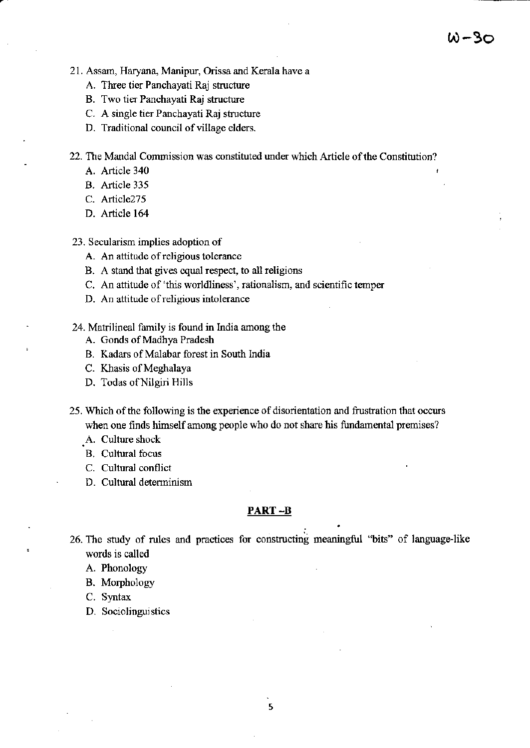- 21. Assam, Haryana, Manipur, Orissa and Kerala have a
	- A. Three tier Panchayati Raj structure
	- B. Two tier Panchayati Raj structure
	- C. A single tier Panchayati Raj structure
	- D. Traditional council of village elders.
- 22. The MandaI Commission was constituted under which Article of the Constitution?
	- A. Article 340
	- B. Article 335
	- C. Article275
	- D. Article 164
- 23. Secularism implies adoption of
	- A. An attitude of religious tolerance
	- B. A stand that gives equal respect, to all religions
	- C. An attitude of 'this worldliness', rationalism, and scientific temper
	- D. An attitude of religious intolerance
- 24. Matrilineal family is found in India among the
	- A. Gonds of Madhya Pradesh
	- B. Kadars of Malabar forest in South India
	- C. Khasis of Meghalaya
	- D. Todas of Nilgiri Hills
- 25. Which of the following is the experience of disorientation and frustration that occurs when one finds himself among people who do not share his fundamental premises?
	- A. Culture shock
	- B. Cultural focus
	- C. Cultural conflict
	- D. Cultural determinism

## PART-B

- 26. The study of rules and practices for constructing meaningful "bits" of language-like words is called
	- A. Phonology
	- B. Morphology
	- C. Syntax
	- D. Sociolinguistics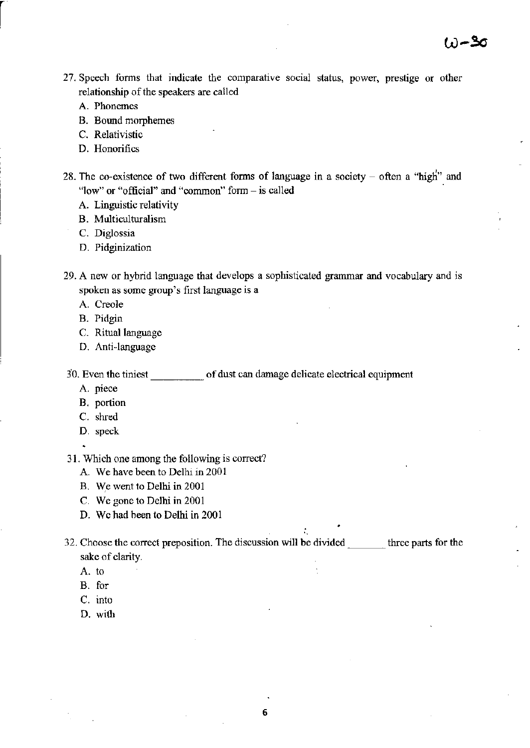- 27. Speech fonns that indicate the comparative social status, power, prestige or other relationship of the speakers are called
	- A. Phonemes

r

- B. Bound morphemes
- C. Relativistic
- D. Honorifics
- 28. The co-existence of two different forms of language in a society often a "high" and "low" or "official" and "common" form – is called
	- A. Linguistic relativity
	- B. Multiculturalism
	- C. Diglossia
	- D. Pidginization
- 29. A new or hybrid language that develops a sophisticated grammar and vocabulary and is spoken as some group's first language is a
	- A. Creole
	- B. Pidgin
	- C. Ritual language
	- D. Anti-language

3'0. Even the tiniest \_\_\_\_\_ of dust can damage delicate electrical equipment

- A. pIece
- B, portion
- C. shred
- D. speck

 $\ddot{\phantom{a}}$ 

- 31. Which one among the following is correct?
	- A. We have been to Delhi in 2001
	- B. We went to Delhi in 2001
	- C. We gone to Delhi in 2001
	- D. We had heen to Delhi in 2001
- . 32. Choose the correct preposition. The discussion will be divided \_\_\_ three parts for the sake of clarity.
	- A. to
	- B. for
	- C. into
	- D. with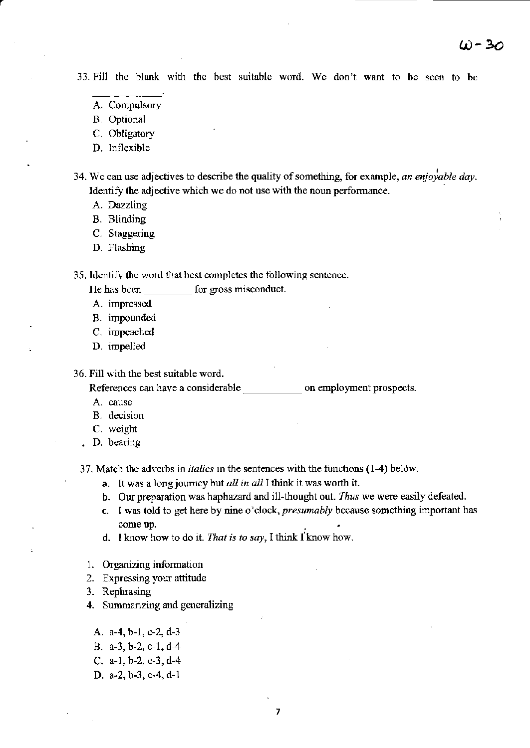33. Fill the blank with the best suitable word. We don't want to be seen to be

- A. Compulsory
- B. Optional
- c. Obligatory
- D. Inflexible

, 34. We can use adjectives to describe the quality of something, for example, *an enjoyable day.*  Identify the adjective which we do not use with the noun performance.

- A. Dazzling
- B. Blinding
- C. Staggering
- D. Flashing

35. Identify the word that best completes the following sentence.

He has been for gross misconduct.

- A. impressed
- B. impounded
- C. impeached
- D. impelled

36. Fill with the best suitable word.

References can have a considerable on employment prospects.

- A. cause
- B. decision
- c. weight
- D. bearing

37. Match the adverbs in *italics* in the sentences with the functions (1-4) below.

- a. It was a long journey but *all in all* I think it *was* worth it.
- b. Our preparation was haphazard and ill-thought out. *Thus* we were easily defeated.
- c. J was told to get here by nine o'clock, *presumably* because something important has come up.
- d. I know how to do it. *That is to say,* I think I'know how.
- 1. Organizing information
- 2. Expressing your attitude
- 3. Rephrasing
- 4. Summarizing and generalizing
	- A. a-4, b-I, c-2, d-3
	- B. a-3, b-2, c-I, d-4
	- C. a-I, b-2, c-3, d-4
	- D. a-2, b-3, c-4, d-I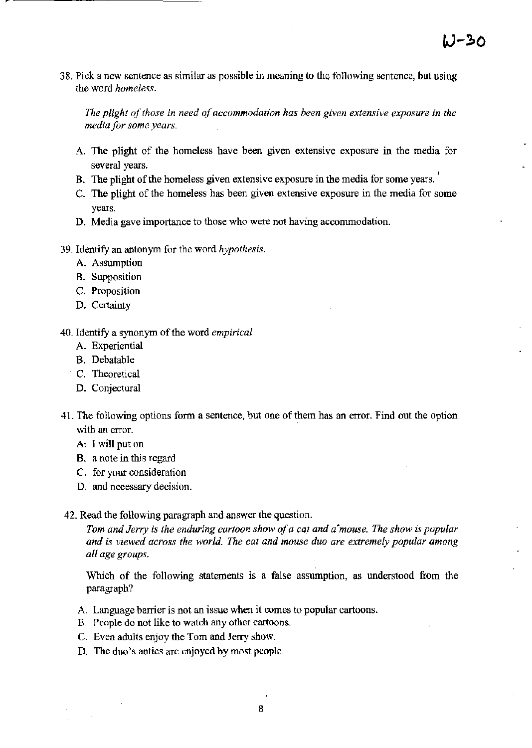38. Pick a new sentence as similar as possible in meaning to the following sentence, but using the word *homeless.* 

*The plight of those in need of accommodation has been given extensive exposure in the media for some years.* 

- A. The plight of the homeless have been given extensive exposure in the media for several years.
- B. The plight of the homeless given extensive exposure in the media for some years.
- C. The plight of the homeless has been given extensive exposure in the media for some years.
- D. Media gave importance to those who were not having accommodation.
- 39. Identify an antonym for the word *hypothesis.* 
	- A. Assumption
	- B. Supposition
	- C. Proposition
	- D. Certainty
- 40. Identify a synonym of the word *empirical* 
	- A. Experiential
	- B. Debatable
	- C. Theoretical
	- D. Conjectural
- 41. The following options fonn a sentence, but one of them has an error. Find out the option with an error.
	- A: I will put on
	- B. a note in this regard
	- C. for your consideration
	- D. and necessary decision.
- 42. Read the following paragraph and answer the question.

*Tom and Jerry is the enduring cartoon show of a cat and a*mouse. The show is popular *and is viewed across the world. The cat and mouse duo are extremely popular among all age groups.* 

Which of the following statements is a false assumption, as understood from the paragraph?

- A. Language barrier is not an issue when it comes to popular cartoons.
- B. People do not like to watch any other cartoons.
- C. Even adults enjoy the Tom and Jerry show.
- D. The duo's antics are enjoyed by most people.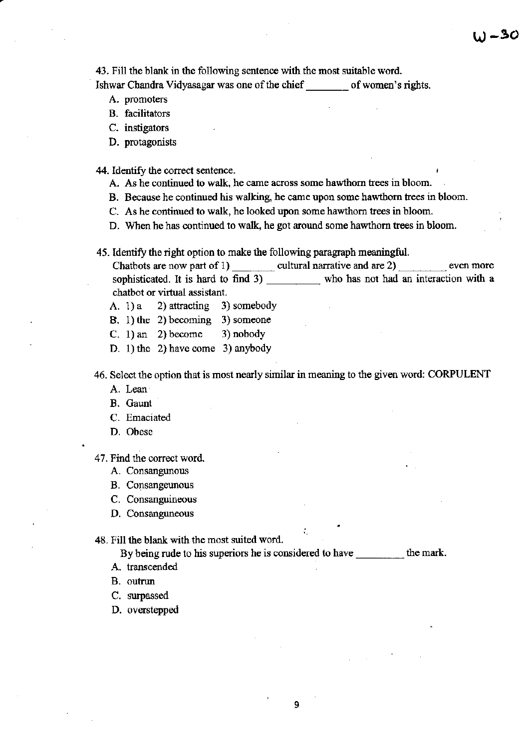43. Fill the blank in the following sentence with the most suitable word.

- Ishwar Chandra Vidyasagar was one of the chief of women's rights.
	- A. promoters
	- B. facilitators
	- C. instigators
	- D. protagonists

44. Identify the correct sentence.

- A. As he continued to walk, he came across some hawthorn trees in bloom.
- B. Because he continued his walking, he came upon some hawthorn trees in bloom.
- e. As he continued to walk, he looked upon some hawthorn trees in bloom.

D. When he has continued to walk, he got around some hawthorn trees in bloom.

45. Identify the right option to make the following paragraph meaningful.

Chathots are now part of  $1)$  cultural narrative and are 2) even more sophisticated. It is hard to find 3) who has not had an interaction with a chathot or virtual assistant.

A. 1) a 2) attracting 3) somebody

- B. 1) the 2) becoming 3) someone
- C. 1) an 2) become  $3)$  nobody
- D. 1) the 2) have come 3) anybody

46. Select the option that is most nearly similar in meaning to the given word: CORPULENT

- A. Lean
- B. Gaunt
- C. Emaciated
- D. Obese

47. Find the correct word.

- A. Consangunous
- B. Consangeunous
- C. Consanguineous
- D. Consanguneous

48. Fill the blank with the most suited word.

By being rude to his superiors he is considered to have \_\_\_\_\_\_\_ the mark.

• ..

- A. transcended
- B. outrun
- c. swpassed
- D. overstepped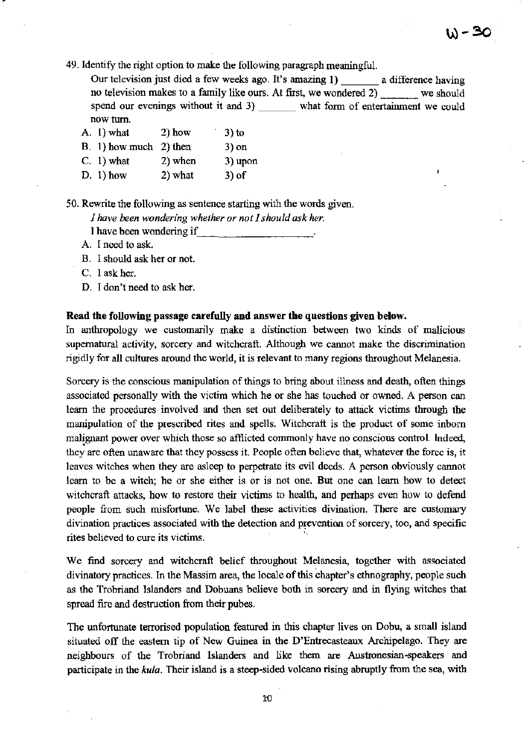49. Identify the right option to make the following paragraph meaningful.

Our television just died a few weeks ago. It's amazing 1) a difference having no television makes to a family like ours. At first, we wondered 2) we should spend our evenings without it and 3) what form of entertainment we could now tum.

| A. 1) what             | $2)$ how                    | $3)$ to                            |
|------------------------|-----------------------------|------------------------------------|
| B. 1) how much 2) then |                             | $3)$ on                            |
|                        | $\sim$ $\sim$ $\sim$ $\sim$ | $\sim$ $\sim$ $\sim$ $\sim$ $\sim$ |

- C. 1) what  $2)$  when  $3)$  upon
- D. 1) how 2) what 3) of

50. Rewrite the following as sentence starting with the words given.

*I have been wondering whether or not 1 should ask her.* 

I have been wondering if

A. I need to ask.

B. I should ask her or not.

- C. I ask her.
- D. I don't need to ask her.

# Read the following passage carefully and answer the questions given below.

In anthropology we customarily make a distinction between two kinds of malicious supernatural activity, sorcery and witchcraft. Although we cannot make the discrimination rigidly for all cultures around the world, it is relevant to many regions throughout Melanesia.

Sorcery is the conscious manipulation of things to bring about illness and death, often things associated personally with the victim which he or she has touched or owned. A person can learn the procedures involved and then set out deliberately to attack victims through the manipulation of the prescribed rites and spells. Witchcraft is the product of some inborn malignant power over which those so afflicted commonly have no conscious control. Indeed, they are often unaware that they possess it. People often believe that, whatever the force is, it leaves witches when they are asleep to perpetrate its evil deeds. A person obviously cannot learn to be a witch; he or she either is or is not one. But one can learn how to detect witchcraft attacks, how to restore their victims to health, and perhaps even how to defend people from such misfortune. We label these activities divination. There are customary divination practices associated with the detection and prevention of sorcery, too, and specific rites believed to cure its victims.

We find sorcery and witchcraft belief throughout Melanesia, together with associated divinatory practices. In the Massim area, the locale of this chapter's ethnography, people such as the Trobriand Islanders and Dobuans believe both in sorcery and in flying witches that spread fire and destruction from their pubes.

The unfortunate terrorised population featured in this chapter lives on Dobu, a small island situated off the eastern tip of New Guinea in the D'Entrecasteaux Archipelago. They are neighbours of the Trobriand Islanders and like them are Austronesian-speakers and participate in the *kula.* Their island is a steep-sided volcano rising abruptly from the sea, with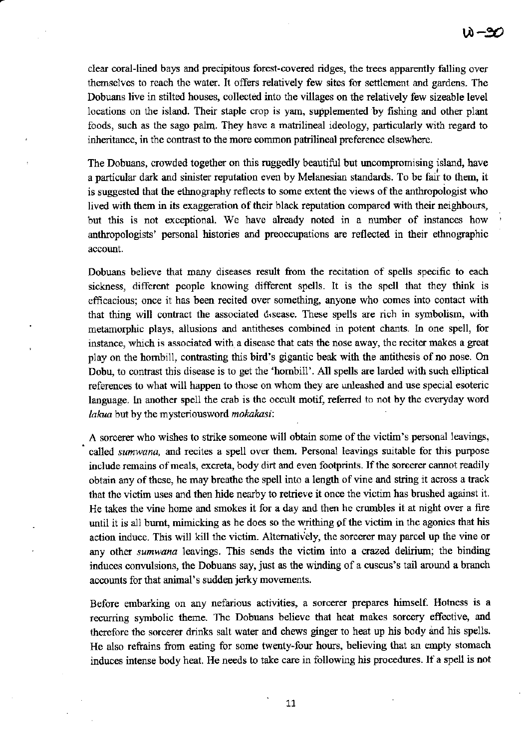clear coral-lined bays and precipitous forest-covered ridges, the trees apparently falling over themselves to reach the water. It offers relatively few sites for settlement and gardens. The Dobuans live in stilted houses, collected into the villages on the relatively few sizeable level locations on the island. Their staple crop is yam, supplemented by fishing and other plant foods, such as the sago palm. They have a matrilineal ideology, particularly with regard to inheritance, in the contrast to the more common patrilineal preference elsewhere.

The Dobuans, crowded together on this ruggedly beautiful but uncompromising island, have a particular dark and sinister reputation even by Melanesian standards. To be fair to them, it is suggested that the ethnography reflects to some extent the views of the anthropologist who lived with them in its exaggeration of their black reputation compared with their neighbours, but this is not exceptional. We have already noted in a number of instances how anthropologists' personal histories and preoccupations are reflected in their ethnographic account

Dobuans believe that many diseases result from the recitation of spells specific to each sickness, different people knowing different spells. It is the spell that they think is efficacious; once it has been recited over something, anyone who comes into contact with that thing will contract the associated {hsease. These spells are rich in symbolism, with metamorphic plays, allusions and antitheses combined in potent chants. In one spell, for instance, which is associated with a disease that eats the nose away, the reciter makes a great play on the hornbill, contrasting this bird's gigantic beak with the antithesis of no nose. On Oobu, to contrast this disease is to get the 'hornbill'. All spells are larded with such elliptical references to what will happen to those on whom they are unleashed and use special esoteric language. In another spell the crab is the occult motif, referred to not by the everyday word *lakua* but by the mysteriousword *mokakasi:* 

A sorcerer who wishes to strike someone will obtain some of the victim's personal leavings, called *sumwana,* and recites a spell over them. Personal leavings suitable for this purpose include remains of meals, excreta, body dirt and even footprints. If the sorcerer cannot readily obtain any of these, he may breathe the spell into a length of vine and string it across a track that the victim uses and then hide nearby to retrieve it once the victim has brushed against it. He takes the vine home and smokes it for a day and then he crwnbles it at night over a fire until it is all burnt, mimicking as he does so the writhing of the victim in the agonies that his action inducc. This will kill the victim. Alternatively, the sorcerer may parcel up the vine or any other *sumwana* leavings. This sends the victim into a crazed delirium; the binding induces convulsions, the Dobuans say, just as the winding of a cuscus's tail around a branch accounts for that animal's sudden jerky movements.

Before embarking on any nefarious activities, a sorcerer prepares himself. Hotness is a recurring symbolic theme. The Dobuans believe that heat makes sorcery effective, and therefore the sorcerer drinks salt water and chews ginger to heat up his body and his spells. He also refrains from eating for some twenty-four hours, believing that an empty stomach induces intense body heat. He needs to take care in following his procedures. If a spell is not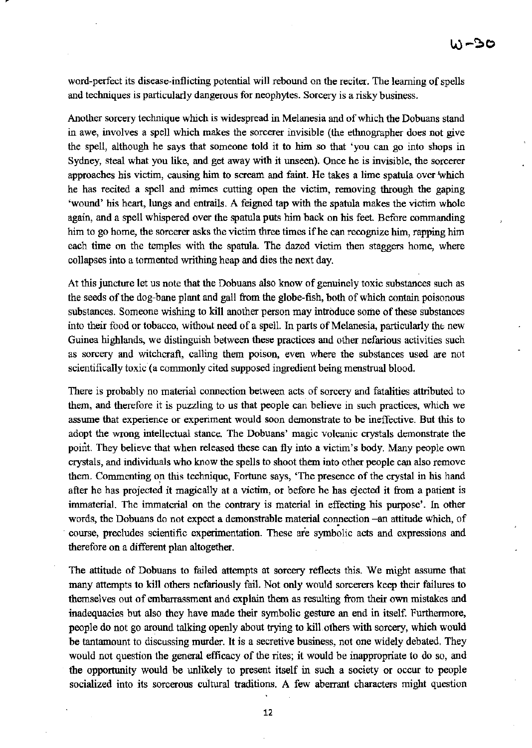word-perfect its disease-inflicting potential will rebound on the reciter. The learning of spells and techniques is particularly dangerous for neophytes. Sorcery is a risky business.

Another sorcery technique which is widespread in Melanesia and of which the Dobuans stand in awe, involves a spell which makes the sorcerer invisible (the ethnographer does not give the spell, although he says that someone told it to him so that 'you can go into shops in Sydney, steal what you like, and *get* away with it unseen). *Once* he is invisible, the sorcerer approaches his victim, causing him to scream and faint. He takes a lime spatula over 'which he has recited a spell and mimes cutting open the victim, removing through the gaping 'wound' his heart, lungs and entrails. A feigned tap with the spatula makes the victim whole again, and a spell whispered over the spatula puts him back on his feet Before commanding him to go home, the sorcerer asks the victim three times if he can recognize him, rapping him each time on the temples with the spatula. The dazed victim then staggers home, where collapses into a tormented writhing heap and dies the next day.

At this juncture let us note that the Dobuans also know of genuinely toxic substances such as the seeds of the dog-bane plant and gall from the globe-fish, both of which contain poisonous substances. Someone wishing to kill another person may introduce some of these substances into their food or tobacco, without need of a spell. In parts of Melanesia, particularly the new Guinea highlands, we distinguish between these practices and other nefarious activities such as sorcery and witchcraft, calling them poison, even where the substances used are not scientifically toxic (a commonly cited supposed ingredient being menstrual blood.

There is probably no material connection between acts of sorcery and fatalities attributed to them, and therefore it is puzzling to us that people can believe in such practices, which we assume that experience or experiment would soon demonstrate to be ineffective. But this to adopt the wrong intellectual stance. The Dobuans' magic volcanic crystals demonstrate the point. They believe that when released these can fly into a victim's body. Many people own crystals, and individuals who know the spells to shoot them into other people can also remove them. Commenting on this technique, Fortune says, 'The presence of the crystal in his hand after he has projected it magically at a victim, or before he has ejected it from a patient is immaterial. The immaterial on the contrary is material in effecting his purpose'. In other words, the Dobuans do not expect a demonstrable material connection -an attitude which, of course, precludes scientific experimentation. These are symbolic acts and expressions and therefore on a different plan altogether.

The attitude of Dobuans to failed attempts at sorcery reflects this. We might assume that many attempts to kill others nefariously fail. Not only would sorcerers keep their failures to themselves out of embarrassment and explain them as resulting from their own mistakes and inadequacies but also they have made their symbolic gesture an end in itself. Furthennore, people do not go around talking openly about trying to kill others with sorcery, which would be tantamount to discussing murder. It is a secretive business, not one widely debated. They would not question the general efficacy of the rites; it would be inappropriate to do so, and the opportunity would be unlikely to present itself in such a society or occur to people socialized into its sorcerous cultural traditions. A few aberrant characters might question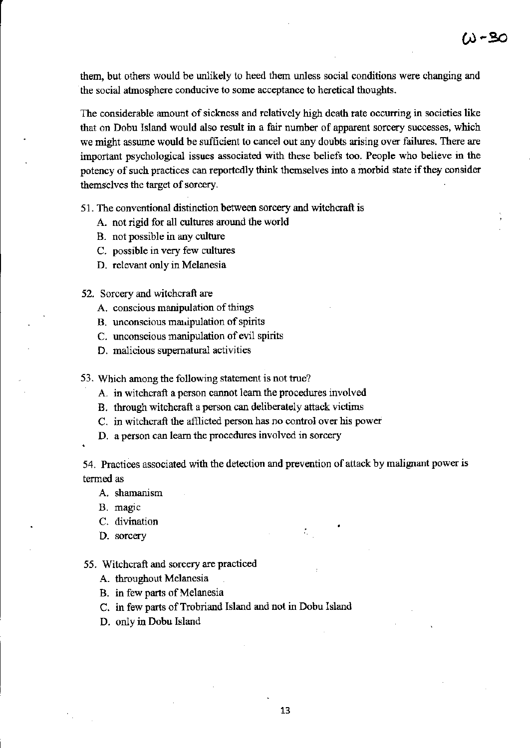them, but others would be unlikely to heed them unless social conditions were changing and the social atmosphere conducive to some acceptance to heretical thoughts.

The considerable amount of sickness and relatively high death rate occurring in societies like that on Dobu Island would also result in a fair number of apparent sorcery successes, which we might assume would be sufficient to cancel out any doubts arising over failures, There are important psychological issues associated with these beliefs too. People who believe in the potency of such practices can reportedly think themselves into a morbid state if they consider themselves the target of sorcery.

51. The conventional distinction between sorcery and witchcraft is

- A. not rigid for all cultures around the world
- B. not possible in any culture
- C. possible in very few cultures
- D. relevant only in Melanesia
- 52. Sorcery and witchcraft are
	- A. conscious manipulation of things
	- B. unconscious manipulation of spirits
	- C. unconscious manipulation of evil spirits
	- D. malicious supernatural activities

53. Which among the following statement is not true?

- A. in witchcraft a person cannot learn the procedures involved
- B. through witchcraft a person can deliberately attack victims
- C. in witchcraft the afflicted person has no control over his power
- D. a person can learn the procedures involved in sorcery

54. Practices associated with the detection and prevention of attack by malignant power is termed as

- A. shamanism
- B. magic
- C. divination
- D. sorcery
- 55. Witchcraft and sorcery are practiced
	- A. throughout Melanesia
	- B. in few parts of Melanesia
	- C. in few parts of Trobriand Island and not in Dobu Island
	- D. only in Dobu Island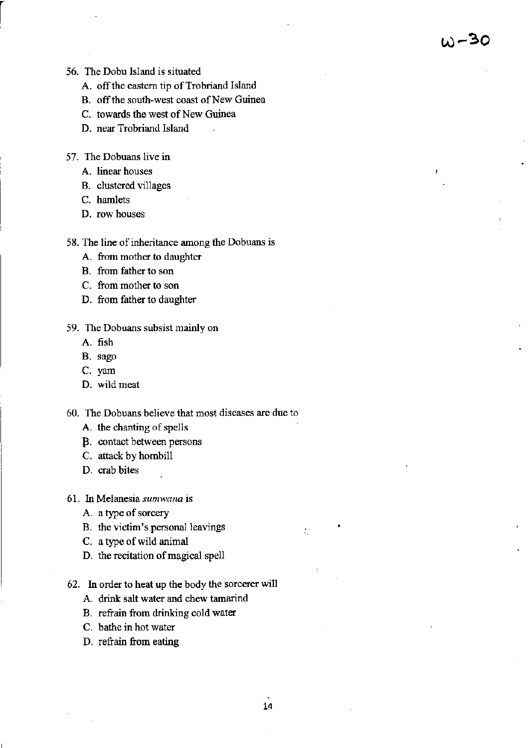- 56. The Dobu Island is situated
	- A. off the eastern tip of Trobriand Island
	- B. off the south-west coast of New Guinea
	- C. towards the west of New Guinea
	- D. near Trobriand Island
- 57. The Dobuans live in
	- A. linear houses
	- B. clustered villages
	- C. hamlets

r

D. row houses

58. The line of inheritance among the Dobuans is

- A. from mother to daughter
- B. from father to son
- C. from mother to son
- D. from father to daughter
- 59. The Dobuans subsist mainly on
	- A. fish
	- B. sago
	- C. yam
	- D. wild meat

60. The Dobuans believe that most diseases are due to

- A. the chanting of spells
- B. contact between persons
- C. attack by hombill
- D. crab bites
- 61, In Melanesia *sumwana* is
	- A. a type of sorcery
	- B. the victim's personal leavings
	- C. a type of wild animal
	- D. the recitation of magical spell
- 62. In order to heat up the body the sorcerer will
	- A. drink salt water and chew tamarind
	- B. refrain from drinking cold water
	- C. bathe in hot water
	- D. refrain from eating

Υŕ,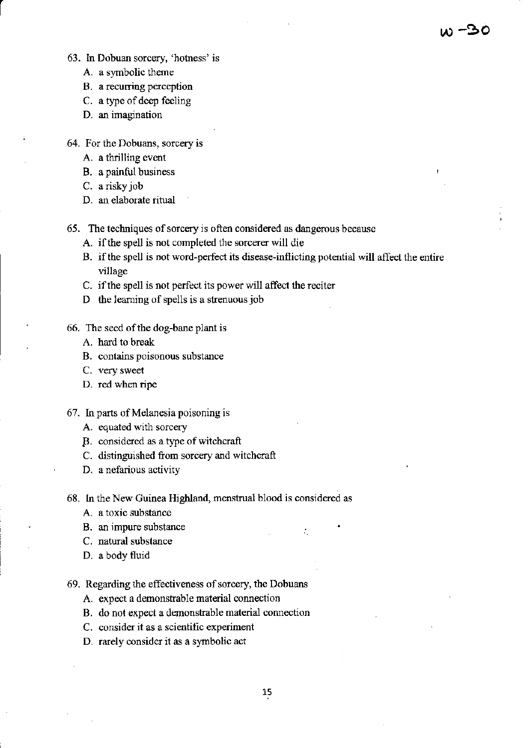- 63. In Dobuan sorcery, 'hotness' is
	- A. a symbolic theme
	- B. a recurring perception
	- c. a type of deep feeling
	- D. an imagination
- 64. For the Dobuans, sorcery is
	- A. a thrilling event
	- B. a painful business
	- C. a risky job
	- D. an elaborate ritual
- 65. The techniques of sorcery is often considered as dangerous because
	- A. if the spell is not completed the sorcerer will die
	- B. if the spell is not word-perfect its disease-inflicting potential will affect the entire village
	- C. if the spel1 is not perfect its power will affect the reciter
	- D the learning of spells is a strenuous job
- 66. The seed of the dog-bane plant is
	- A. hard to break
	- B. contains poisonous substance
	- C. very sweet
	- D. red when ripe
- 67. In parts of Melanesia poisoning is
	- A. equated with sorcery
	- 13. considered as a type of witchcraft
	- C. distinguished from sorcery and witchcraft
	- D. a nefarious activity
- 68. In the New Guinea Highland, menstrual blood is considered as
	- A. a toxic substance
	- B. an impure substance
	- C. natural substance
	- D. a body fluid
- 69. Regarding the effectiveness of sorcery, the Dobuans
	- A. expect a demonstrable material connection
	- B. do not expect a demonstrable material connection
	- C. consider it as a scientific experiment
	- D. rarely consider it as a symbolic act

÷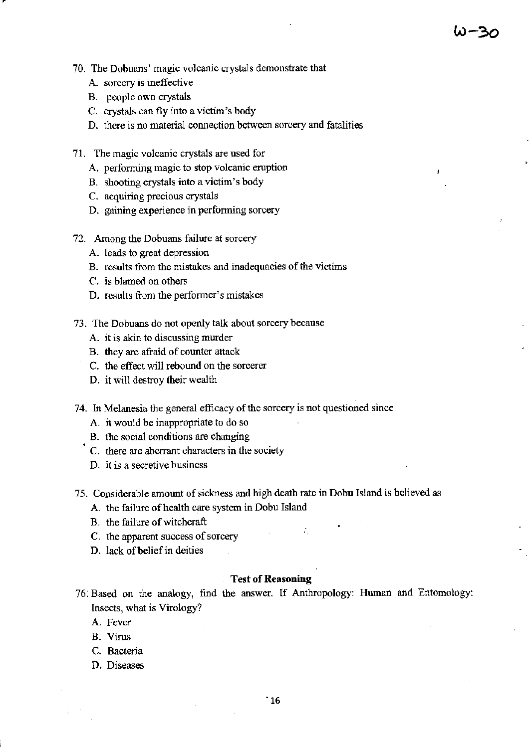- 70. The Dobuans' magic volcanic crystals demonstrate that
	- A. sorcery is ineffective
	- B. people own crystals
	- C. crystals can fly into a victim's body
	- D. there is no material connection between sorcery and fatalities
- 71. The magic volcanic crystals are used for
	- A. performing magic to stop volcanic eruption
	- B. shooting crystals into a victim's body
	- C. acquiring precious crystals
	- D. gaining experience in performing sorcery
- 72. Among the Dobuans failure at sorcery
	- A. leads to great depression
	- B. results from the mistakes and inadequacies of the victims
	- C. is blamed on others
	- D. results from the perfonner's mistakes
- 73. The Dobuans do not openly talk about sorcery because
	- A. it is akin to discussing murder
	- B. they are afraid of counter attack
	- C. the effect will rebound on the sorcerer
	- D. it will destroy their wealth
- 74. In Melanesia the general efficacy of the sorcery is not questioned since
	- A. it would be inappropriate to do so
	- B. the social conditions are changing
	- C. there are aberrant characters in the society
	- D. it is a secretive business
- 75. Considerable amount of sickness and high death rate in Dobu Island is believed as
	- A. the failure of health care system in Dobu Island
	- B. the failure of witchcraft
	- C. the apparent success of sorcery
	- D. lack of belief in deities

## **Test of Reasoning**

76: Based on the analogy, find the answer. If Anthropology: Human and Entomology: Insects, what is Virology?

- A. Fever
- B. Virus
- C. Bacteria
- D. Diseases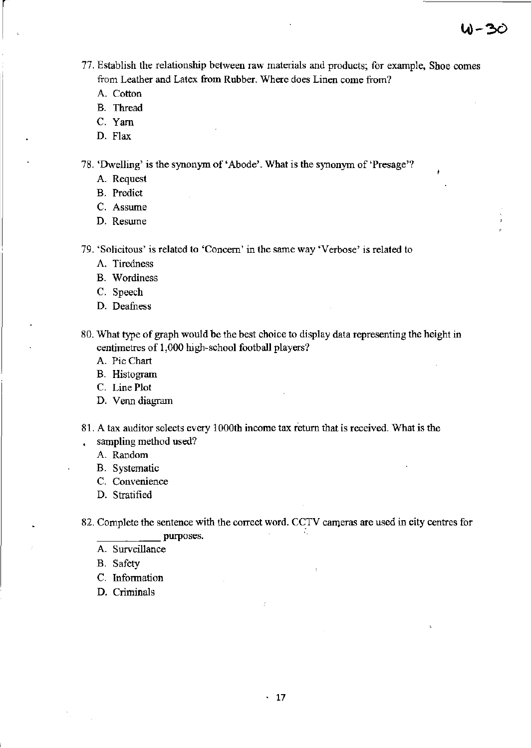- 77. Establish the relationship between raw materials and products; for example, Shoe comes from Leather and Latex from Rubber. Where does Linen come from?
	- A. Cotton
	- B. Thread
	- C. Yarn
	- D. Flax

78. 'Dwelling' is the synonym of 'Abode'. What is the synonym of 'Presage'?

- A. Request
- B. Predict
- C. Assume
- D. Reswne

79. 'Solicitous' is related to 'Concern' in the same way 'Verbose' is related to

- A. Tiredness
- B. Wordiness
- C. Speech
- D. Deafness
- 80. What type of graph would be the best choice to display data representing the height in centimetres of 1,000 high-school football players?
	- A. Pie Chart
	- B. Histogram
	- C. Line Plot
	- D. Venn diagram
- 81. A tax auditor selects every 1000th income tax return that is received. What is the sampling method used?  $\ddot{\phantom{a}}$ 
	- A. Random
	- B. Systematic
	- C. Convenience
	- D. Stratified

82. Complete the sentence with the correct word. CC.TV cameras are used in city centres for purposes.

A. Surveillance

B. Safety

C. Information

D. Criminals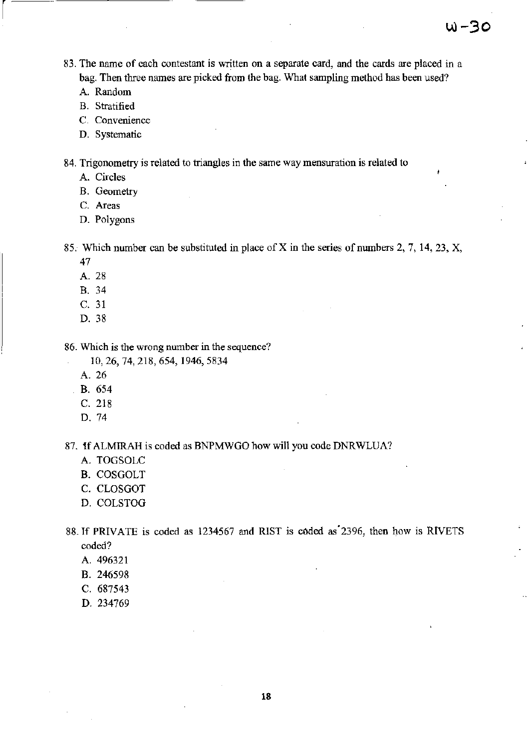- **83. The name of each contestant is written on a separate card, and the cards are placed in a bag. Then three names are picked from the bag. What sampling method has been used?** 
	- A. Random

 $\begin{bmatrix} 1 \end{bmatrix}$ 

- B. Stratified
- **C. Convenience**
- **D. Systematic**

**84. Trigonometry is related to triangles in the same way mensuration is related to** 

- **A. Circles**
- B. Geometry
- **C. Areas**
- **D. Polygons**

85. Which number can be substituted in place of X in the series of numbers 2, 7, 14, 23, X, 47

- A. 28
- B. 34
- C. 31
- D. 38
- 

**86. Which is the wrong number in the sequence?** 

10,26,74,218,654,1946,5834

- A.26
- B. 654
- C. 218
- D.74

87. if ALMIRAH is coded as BNPMWGO how will you code DNRWLUA?

- A. TOGSOLC
- B. COSGOLT
- C. CLOSGOT
- D. COLSTOG

88. If PRIVATE is coded as 1234567 and RIST is coded as 2396, then how is RIVETS **coded?** 

- A. 496321
- B. 246598
- C. 687543
- D. 234769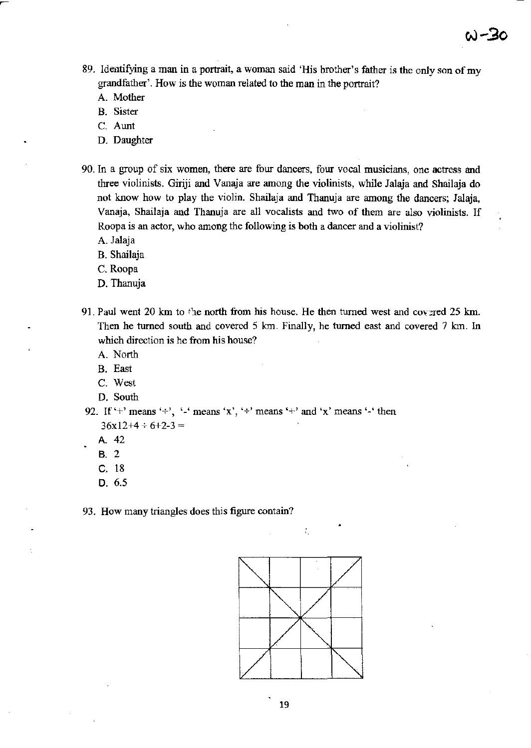- 89. Identifying a man in a portrait, a woman said 'His brother's father is the only son of my grandfather'. How is the woman related to the man in the portrait?
	- A. Mother
	- B. Sister
	- C. Aunt
	- D. Daughter
- 90. In a group of six women, there are four dancers, four vocal musicians, one actress and three violinists. Giriji and Vanaja are among the violinists, while Jalaja and Shailaja do not know how to play the violin. Shailaja and Tbanuja are among the dancers; Jalaja, Vanaja, Shailaja and Thanuja are all vocalists and two of them are also violinists. If Roopa is an actor, who among the following is both a dancer and a violinist?
	- A. Jalaja
	- B. Shailaja
	- C. Roopa
	- D. Thanuja
- 91. Paul went 20 km to the north from his house. He then turned west and covered 25 km. Then he turned south and covered 5 km. Finally, he turned east and covered 7 km. In which direction is he from his house?
	- A. North
	- B. East
	- C. West
	- D. South
- 92. If '+' means '+', '-' means 'x', '+' means '+' and 'x' means '-' then  $36x12+4 \div 6+2-3 =$ 
	- A. 42
	- B. 2
	- c. 18
	- D. 6.5
- 93. How many triangles does this figure contain?



÷,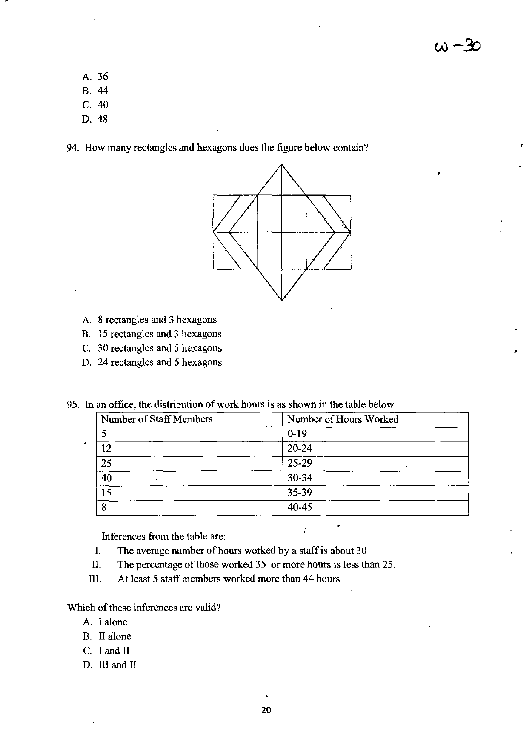- A.36
- B. 44
- C. 40
- D.48

94. How many rectangles and hexagons does the figure below contain?



- A. 8 rectangles and 3 hexagons
- B. 15 rectangles and 3 hexagons
- C. 30 rectangles and 5 hexagons
- D. 24 rectangles and 5 hexagons
- 95. In an office, the distribution of work hours is as shown in the table below

| Number of Staff Members | Number of Hours Worked |  |
|-------------------------|------------------------|--|
|                         | $0 - 19$               |  |
| רו                      | $20 - 24$              |  |
| 25                      | 25-29                  |  |
| 40                      | $30 - 34$              |  |
|                         | 35-39                  |  |
| 8                       | 40-45                  |  |

÷,

Inferences from the table are:

- I. The average number afhours worked by a staff is about 30
- II. The percentage of those worked 35 or more hours is less than 25.
- **III.** At least 5 staff members worked more than **44** hours

Which of these inferences are valid?

- A. I alone
- B. II alone
- C. I and II
- D. III and II